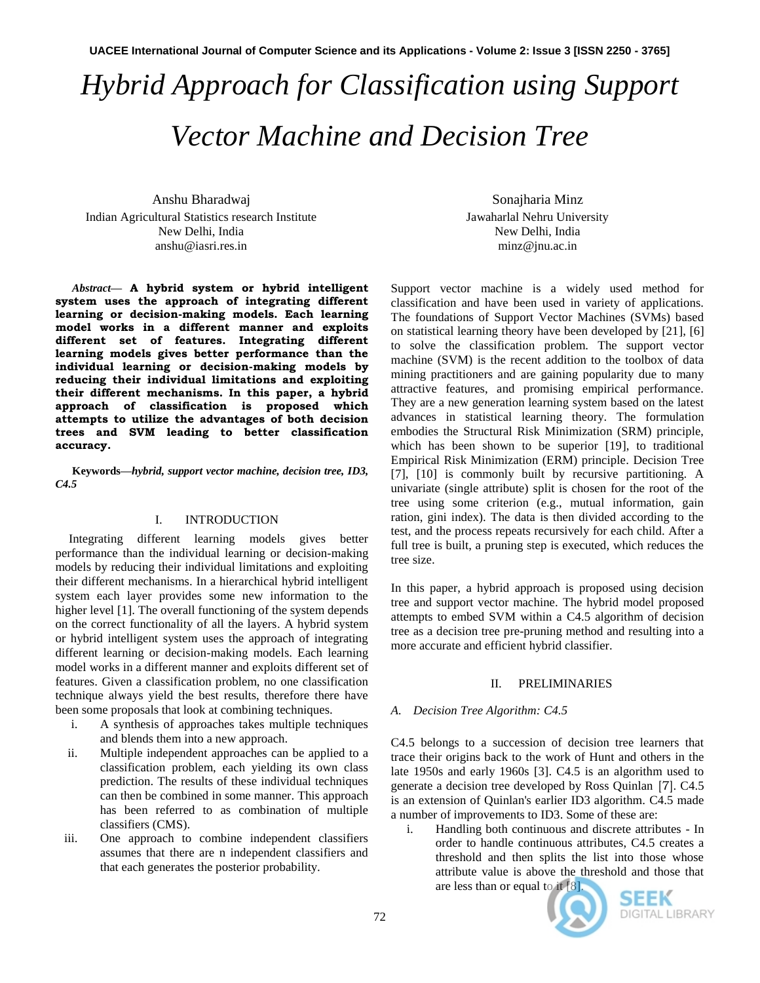# *Hybrid Approach for Classification using Support Vector Machine and Decision Tree*

Anshu Bharadwaj Indian Agricultural Statistics research Institute New Delhi, India anshu@iasri.res.in

*Abstract***— A hybrid system or hybrid intelligent system uses the approach of integrating different learning or decision-making models. Each learning model works in a different manner and exploits different set of features. Integrating different learning models gives better performance than the individual learning or decision-making models by reducing their individual limitations and exploiting their different mechanisms. In this paper, a hybrid approach of classification is proposed which attempts to utilize the advantages of both decision trees and SVM leading to better classification accuracy.** 

**Keywords—***hybrid, support vector machine, decision tree, ID3, C4.5*

## I. INTRODUCTION

Integrating different learning models gives better performance than the individual learning or decision-making models by reducing their individual limitations and exploiting their different mechanisms. In a hierarchical hybrid intelligent system each layer provides some new information to the higher level [1]. The overall functioning of the system depends on the correct functionality of all the layers. A hybrid system or hybrid intelligent system uses the approach of integrating different learning or decision-making models. Each learning model works in a different manner and exploits different set of features. Given a classification problem, no one classification technique always yield the best results, therefore there have been some proposals that look at combining techniques.

- i. A synthesis of approaches takes multiple techniques and blends them into a new approach.
- ii. Multiple independent approaches can be applied to a classification problem, each yielding its own class prediction. The results of these individual techniques can then be combined in some manner. This approach has been referred to as combination of multiple classifiers (CMS).
- iii. One approach to combine independent classifiers assumes that there are n independent classifiers and that each generates the posterior probability.

Sonajharia Minz Jawaharlal Nehru University New Delhi, India minz@jnu.ac.in

Support vector machine is a widely used method for classification and have been used in variety of applications. The foundations of Support Vector Machines (SVMs) based on statistical learning theory have been developed by [21], [6] to solve the classification problem. The support vector machine (SVM) is the recent addition to the toolbox of data mining practitioners and are gaining popularity due to many attractive features, and promising empirical performance. They are a new generation learning system based on the latest advances in statistical learning theory. The formulation embodies the Structural Risk Minimization (SRM) principle, which has been shown to be superior [19], to traditional Empirical Risk Minimization (ERM) principle. Decision Tree [7], [10] is commonly built by recursive partitioning. A univariate (single attribute) split is chosen for the root of the tree using some criterion (e.g., mutual information, gain ration, gini index). The data is then divided according to the test, and the process repeats recursively for each child. After a full tree is built, a pruning step is executed, which reduces the tree size.

In this paper, a hybrid approach is proposed using decision tree and support vector machine. The hybrid model proposed attempts to embed SVM within a C4.5 algorithm of decision tree as a decision tree pre-pruning method and resulting into a more accurate and efficient hybrid classifier.

# II. PRELIMINARIES

# *A. Decision Tree Algorithm: C4.5*

C4.5 belongs to a succession of decision tree learners that trace their origins back to the work of Hunt and others in the late 1950s and early 1960s [3]. C4.5 is an algorithm used to generate a [decision tree](http://en.wikipedia.org/wiki/Decision_tree_learning) developed by Ross Quinlan [7]. C4.5 is an extension of Quinlan's earlier [ID3 algorithm.](http://en.wikipedia.org/wiki/ID3_algorithm) C4.5 made a number of improvements to ID3. Some of these are:

i. Handling both continuous and discrete attributes - In order to handle continuous attributes, C4.5 creates a threshold and then splits the list into those whose attribute value is above the threshold and those that are less than or equal to it [8].



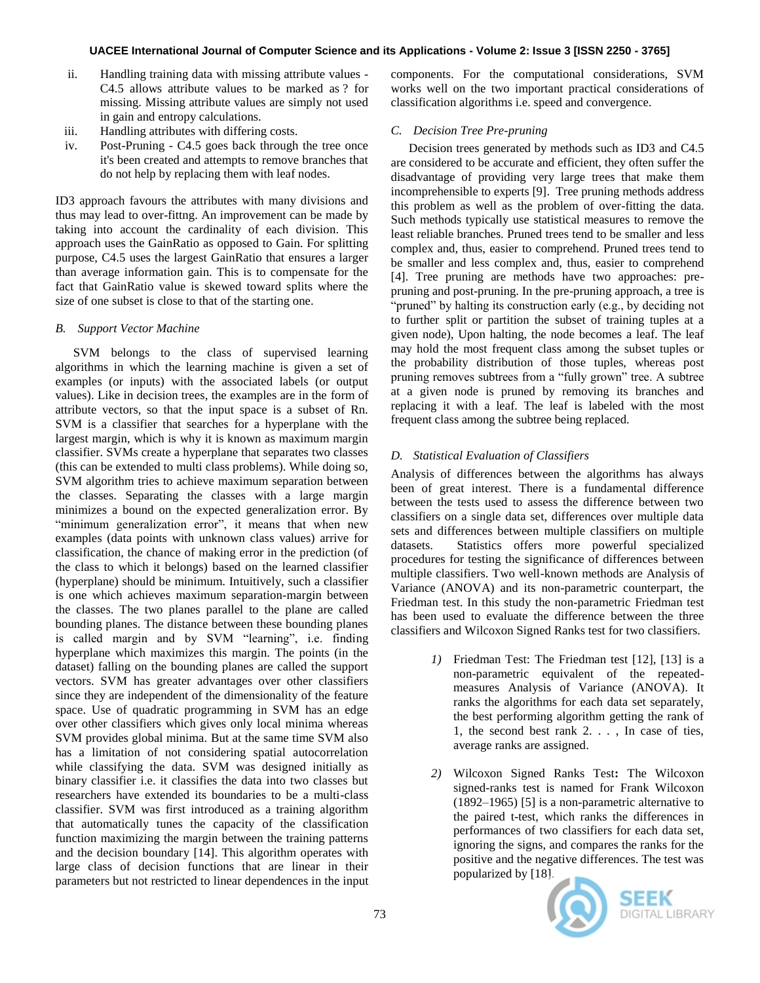- ii. Handling training data with missing attribute values C4.5 allows attribute values to be marked as ? for missing. Missing attribute values are simply not used in gain and entropy calculations.
- iii. Handling attributes with differing costs.
- iv. Post-Pruning C4.5 goes back through the tree once it's been created and attempts to remove branches that do not help by replacing them with leaf nodes.

ID3 approach favours the attributes with many divisions and thus may lead to over-fittng. An improvement can be made by taking into account the cardinality of each division. This approach uses the GainRatio as opposed to Gain. For splitting purpose, C4.5 uses the largest GainRatio that ensures a larger than average information gain. This is to compensate for the fact that GainRatio value is skewed toward splits where the size of one subset is close to that of the starting one.

# *B. Support Vector Machine*

SVM belongs to the class of supervised learning algorithms in which the learning machine is given a set of examples (or inputs) with the associated labels (or output values). Like in decision trees, the examples are in the form of attribute vectors, so that the input space is a subset of Rn. SVM is a classifier that searches for a hyperplane with the largest margin, which is why it is known as maximum margin classifier. SVMs create a hyperplane that separates two classes (this can be extended to multi class problems). While doing so, SVM algorithm tries to achieve maximum separation between the classes. Separating the classes with a large margin minimizes a bound on the expected generalization error. By "minimum generalization error", it means that when new examples (data points with unknown class values) arrive for classification, the chance of making error in the prediction (of the class to which it belongs) based on the learned classifier (hyperplane) should be minimum. Intuitively, such a classifier is one which achieves maximum separation-margin between the classes. The two planes parallel to the plane are called bounding planes. The distance between these bounding planes is called margin and by SVM "learning", i.e. finding hyperplane which maximizes this margin. The points (in the dataset) falling on the bounding planes are called the support vectors. SVM has greater advantages over other classifiers since they are independent of the dimensionality of the feature space. Use of quadratic programming in SVM has an edge over other classifiers which gives only local minima whereas SVM provides global minima. But at the same time SVM also has a limitation of not considering spatial autocorrelation while classifying the data. SVM was designed initially as binary classifier i.e. it classifies the data into two classes but researchers have extended its boundaries to be a multi-class classifier. SVM was first introduced as a training algorithm that automatically tunes the capacity of the classification function maximizing the margin between the training patterns and the decision boundary [14]. This algorithm operates with large class of decision functions that are linear in their parameters but not restricted to linear dependences in the input

components. For the computational considerations, SVM works well on the two important practical considerations of classification algorithms i.e. speed and convergence.

# *C. Decision Tree Pre-pruning*

Decision trees generated by methods such as ID3 and C4.5 are considered to be accurate and efficient, they often suffer the disadvantage of providing very large trees that make them incomprehensible to experts [9]. Tree pruning methods address this problem as well as the problem of over-fitting the data. Such methods typically use statistical measures to remove the least reliable branches. Pruned trees tend to be smaller and less complex and, thus, easier to comprehend. Pruned trees tend to be smaller and less complex and, thus, easier to comprehend [4]. Tree pruning are methods have two approaches: prepruning and post-pruning. In the pre-pruning approach, a tree is "pruned" by halting its construction early (e.g., by deciding not to further split or partition the subset of training tuples at a given node), Upon halting, the node becomes a leaf. The leaf may hold the most frequent class among the subset tuples or the probability distribution of those tuples, whereas post pruning removes subtrees from a "fully grown" tree. A subtree at a given node is pruned by removing its branches and replacing it with a leaf. The leaf is labeled with the most frequent class among the subtree being replaced.

# *D. Statistical Evaluation of Classifiers*

Analysis of differences between the algorithms has always been of great interest. There is a fundamental difference between the tests used to assess the difference between two classifiers on a single data set, differences over multiple data sets and differences between multiple classifiers on multiple datasets. Statistics offers more powerful specialized procedures for testing the significance of differences between multiple classifiers. Two well-known methods are Analysis of Variance (ANOVA) and its non-parametric counterpart, the Friedman test. In this study the non-parametric Friedman test has been used to evaluate the difference between the three classifiers and Wilcoxon Signed Ranks test for two classifiers.

- *1)* Friedman Test: The Friedman test [12], [13] is a non-parametric equivalent of the repeatedmeasures Analysis of Variance (ANOVA). It ranks the algorithms for each data set separately, the best performing algorithm getting the rank of 1, the second best rank 2. . . , In case of ties, average ranks are assigned.
- *2)* Wilcoxon Signed Ranks Test**:** The Wilcoxon signed-ranks test is named for [Frank Wilcoxon](http://en.wikipedia.org/wiki/Frank_Wilcoxon) (1892–1965) [5] is a non-parametric alternative to the paired t-test, which ranks the differences in performances of two classifiers for each data set, ignoring the signs, and compares the ranks for the positive and the negative differences. The test was popularized by [18].

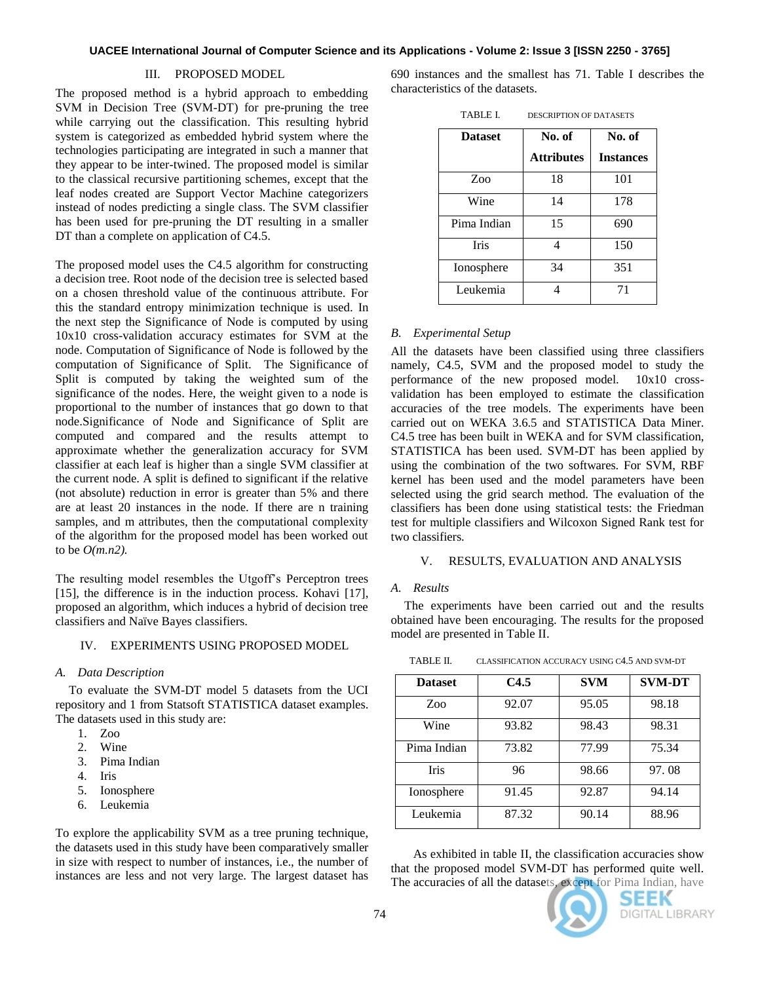## III. PROPOSED MODEL

The proposed method is a hybrid approach to embedding SVM in Decision Tree (SVM-DT) for pre-pruning the tree while carrying out the classification. This resulting hybrid system is categorized as embedded hybrid system where the technologies participating are integrated in such a manner that they appear to be inter-twined. The proposed model is similar to the classical recursive partitioning schemes, except that the leaf nodes created are Support Vector Machine categorizers instead of nodes predicting a single class. The SVM classifier has been used for pre-pruning the DT resulting in a smaller DT than a complete on application of C4.5.

The proposed model uses the C4.5 algorithm for constructing a decision tree. Root node of the decision tree is selected based on a chosen threshold value of the continuous attribute. For this the standard entropy minimization technique is used. In the next step the Significance of Node is computed by using 10x10 cross-validation accuracy estimates for SVM at the node. Computation of Significance of Node is followed by the computation of Significance of Split. The Significance of Split is computed by taking the weighted sum of the significance of the nodes. Here, the weight given to a node is proportional to the number of instances that go down to that node.Significance of Node and Significance of Split are computed and compared and the results attempt to approximate whether the generalization accuracy for SVM classifier at each leaf is higher than a single SVM classifier at the current node. A split is defined to significant if the relative (not absolute) reduction in error is greater than 5% and there are at least 20 instances in the node. If there are n training samples, and m attributes, then the computational complexity of the algorithm for the proposed model has been worked out to be *O(m.n2).*

The resulting model resembles the Utgoff's Perceptron trees [15], the difference is in the induction process. Kohavi [17], proposed an algorithm, which induces a hybrid of decision tree classifiers and Naïve Bayes classifiers.

## IV. EXPERIMENTS USING PROPOSED MODEL

#### *A. Data Description*

To evaluate the SVM-DT model 5 datasets from the UCI repository and 1 from Statsoft STATISTICA dataset examples. The datasets used in this study are:

- 1. Zoo
- 2. Wine
- 3. Pima Indian
- 4. Iris
- 5. Ionosphere
- 6. Leukemia

To explore the applicability SVM as a tree pruning technique, the datasets used in this study have been comparatively smaller in size with respect to number of instances, i.e., the number of instances are less and not very large. The largest dataset has

690 instances and the smallest has 71. Table I describes the characteristics of the datasets.

| TABLE L | <b>DESCRIPTION OF DATASETS</b> |
|---------|--------------------------------|
|---------|--------------------------------|

| <b>Dataset</b> | No. of            | No. of           |  |
|----------------|-------------------|------------------|--|
|                | <b>Attributes</b> | <b>Instances</b> |  |
| Zoo            | 18                | 101              |  |
| Wine           | 14                | 178              |  |
| Pima Indian    | 15                | 690              |  |
| <b>Iris</b>    | Δ                 | 150              |  |
| Ionosphere     | 34                | 351              |  |
| Leukemia       |                   | 71               |  |

#### *B. Experimental Setup*

All the datasets have been classified using three classifiers namely, C4.5, SVM and the proposed model to study the performance of the new proposed model. 10x10 crossvalidation has been employed to estimate the classification accuracies of the tree models. The experiments have been carried out on WEKA 3.6.5 and STATISTICA Data Miner. C4.5 tree has been built in WEKA and for SVM classification, STATISTICA has been used. SVM-DT has been applied by using the combination of the two softwares. For SVM, RBF kernel has been used and the model parameters have been selected using the grid search method. The evaluation of the classifiers has been done using statistical tests: the Friedman test for multiple classifiers and Wilcoxon Signed Rank test for two classifiers.

### V. RESULTS, EVALUATION AND ANALYSIS

## *A. Results*

The experiments have been carried out and the results obtained have been encouraging. The results for the proposed model are presented in Table II.

| <b>Dataset</b> | C4.5  | <b>SVM</b> | <b>SVM-DT</b> |
|----------------|-------|------------|---------------|
| Zoo            | 92.07 | 95.05      | 98.18         |
| Wine           | 93.82 | 98.43      | 98.31         |
| Pima Indian    | 73.82 | 77.99      | 75.34         |
| Iris           | 96    | 98.66      | 97.08         |
| Ionosphere     | 91.45 | 92.87      | 94.14         |
| Leukemia       | 87.32 | 90.14      | 88.96         |

TABLE II. CLASSIFICATION ACCURACY USING C4.5 AND SVM-DT

As exhibited in table II, the classification accuracies show that the proposed model SVM-DT has performed quite well. The accuracies of all the datasets, except for Pima Indian, have

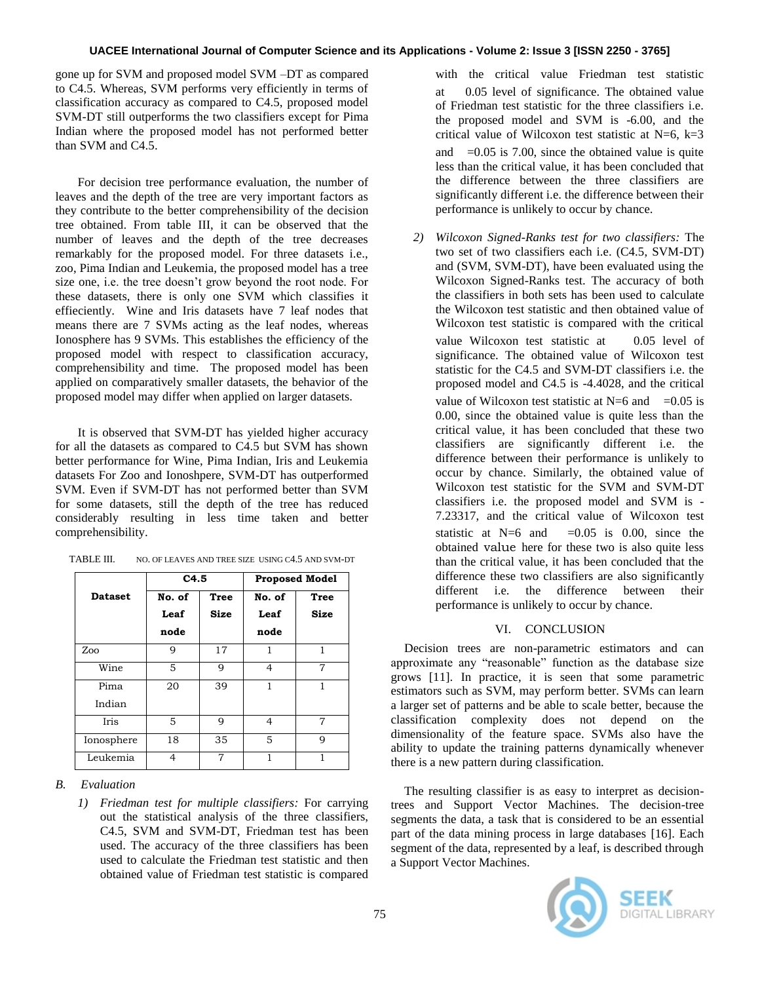## **UACEE International Journal of Computer Science and its Applications - Volume 2: Issue 3 [ISSN 2250 - 3765]**

gone up for SVM and proposed model SVM –DT as compared to C4.5. Whereas, SVM performs very efficiently in terms of classification accuracy as compared to C4.5, proposed model SVM-DT still outperforms the two classifiers except for Pima Indian where the proposed model has not performed better than SVM and C4.5.

For decision tree performance evaluation, the number of leaves and the depth of the tree are very important factors as they contribute to the better comprehensibility of the decision tree obtained. From table III, it can be observed that the number of leaves and the depth of the tree decreases remarkably for the proposed model. For three datasets i.e., zoo, Pima Indian and Leukemia, the proposed model has a tree size one, i.e. the tree doesn't grow beyond the root node. For these datasets, there is only one SVM which classifies it effieciently. Wine and Iris datasets have 7 leaf nodes that means there are 7 SVMs acting as the leaf nodes, whereas Ionosphere has 9 SVMs. This establishes the efficiency of the proposed model with respect to classification accuracy, comprehensibility and time. The proposed model has been applied on comparatively smaller datasets, the behavior of the proposed model may differ when applied on larger datasets.

It is observed that SVM-DT has yielded higher accuracy for all the datasets as compared to C4.5 but SVM has shown better performance for Wine, Pima Indian, Iris and Leukemia datasets For Zoo and Ionoshpere, SVM-DT has outperformed SVM. Even if SVM-DT has not performed better than SVM for some datasets, still the depth of the tree has reduced considerably resulting in less time taken and better comprehensibility.

|                | C4.5   |             | <b>Proposed Model</b> |      |
|----------------|--------|-------------|-----------------------|------|
| <b>Dataset</b> | No. of | <b>Tree</b> | No. of                | Tree |
|                | Leaf   | Size        | Leaf                  | Size |
|                | node   |             | node                  |      |
| Zoo            | 9      | 17          | 1                     | 1    |
| Wine           | 5      | 9           | 4                     | 7    |
| Pima           | 20     | 39          | 1                     | 1    |
| Indian         |        |             |                       |      |
| Iris           | 5      | 9           | 4                     | 7    |
| Ionosphere     | 18     | 35          | 5                     | q    |
| Leukemia       | 4      | 7           | 1                     |      |

TABLE III. NO. OF LEAVES AND TREE SIZE USING C4.5 AND SVM-DT

## *B. Evaluation*

*1) Friedman test for multiple classifiers:* For carrying out the statistical analysis of the three classifiers, C4.5, SVM and SVM-DT, Friedman test has been used. The accuracy of the three classifiers has been used to calculate the Friedman test statistic and then obtained value of Friedman test statistic is compared

with the critical value Friedman test statistic at 0.05 level of significance. The obtained value of Friedman test statistic for the three classifiers i.e. the proposed model and SVM is -6.00, and the critical value of Wilcoxon test statistic at  $N=6$ ,  $k=3$ and  $=0.05$  is 7.00, since the obtained value is quite less than the critical value, it has been concluded that the difference between the three classifiers are significantly different i.e. the difference between their performance is unlikely to occur by chance.

*2) Wilcoxon Signed-Ranks test for two classifiers:* The two set of two classifiers each i.e. (C4.5, SVM-DT) and (SVM, SVM-DT), have been evaluated using the Wilcoxon Signed-Ranks test. The accuracy of both the classifiers in both sets has been used to calculate the Wilcoxon test statistic and then obtained value of Wilcoxon test statistic is compared with the critical value Wilcoxon test statistic at 0.05 level of significance. The obtained value of Wilcoxon test statistic for the C4.5 and SVM-DT classifiers i.e. the proposed model and C4.5 is -4.4028, and the critical value of Wilcoxon test statistic at  $N=6$  and  $=0.05$  is 0.00, since the obtained value is quite less than the critical value, it has been concluded that these two classifiers are significantly different i.e. the difference between their performance is unlikely to occur by chance. Similarly, the obtained value of Wilcoxon test statistic for the SVM and SVM-DT classifiers i.e. the proposed model and SVM is - 7.23317, and the critical value of Wilcoxon test statistic at  $N=6$  and  $=0.05$  is 0.00, since the obtained value here for these two is also quite less than the critical value, it has been concluded that the difference these two classifiers are also significantly different i.e. the difference between their performance is unlikely to occur by chance.

#### VI. CONCLUSION

Decision trees are non-parametric estimators and can approximate any "reasonable" function as the database size grows [11]. In practice, it is seen that some parametric estimators such as SVM, may perform better. SVMs can learn a larger set of patterns and be able to scale better, because the classification complexity does not depend on the dimensionality of the feature space. SVMs also have the ability to update the training patterns dynamically whenever there is a new pattern during classification.

The resulting classifier is as easy to interpret as decisiontrees and Support Vector Machines. The decision-tree segments the data, a task that is considered to be an essential part of the data mining process in large databases [16]. Each segment of the data, represented by a leaf, is described through a Support Vector Machines.